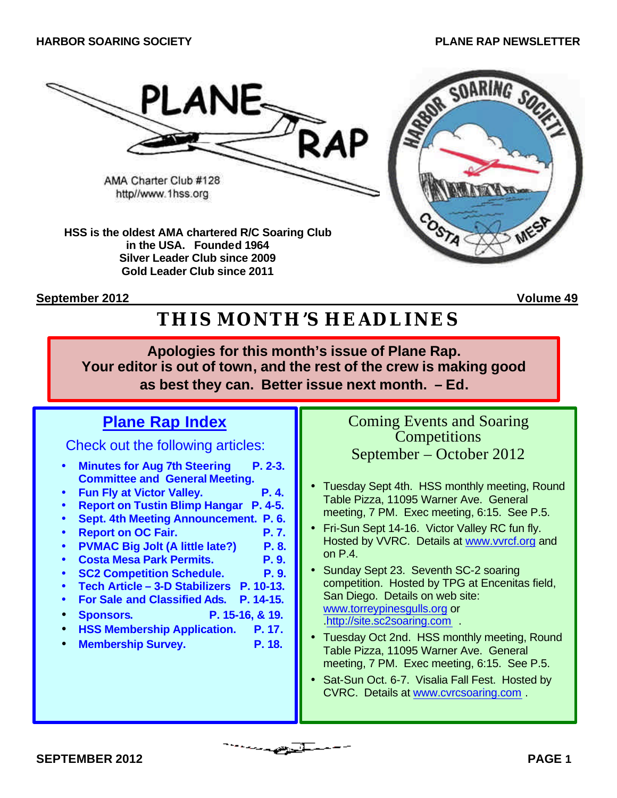

**in the USA. Founded 1964 Silver Leader Club since 2009 Gold Leader Club since 2011**

**September 2012 Volume 49**

# **THIS MONTH'S HEADLINES**

**Apologies for this month's issue of Plane Rap. Your editor is out of town, and the rest of the crew is making good as best they can. Better issue next month. – Ed.**

# **Plane Rap Index**

Check out the following articles:

- **Minutes for Aug 7th Steering P. 2-3. Committee and General Meeting.**
- **Fun Fly at Victor Valley. P. 4.**
- **Report on Tustin Blimp Hangar P. 4-5.**
- **Sept. 4th Meeting Announcement. P. 6.**
- **Report on OC Fair. P. 7.**
- **PVMAC Big Jolt (A little late?) P. 8.**
- **Costa Mesa Park Permits. P. 9.**
- **SC2 Competition Schedule. P. 9.**
- **Tech Article 3-D Stabilizers P. 10-13.**
- **For Sale and Classified Ads. P. 14-15.**
- **Sponsors. P. 15-16, & 19.**
- **HSS Membership Application. P. 17.**
- **Membership Survey.** P. 18.

Coming Events and Soaring **Competitions** September – October 2012

- Tuesday Sept 4th. HSS monthly meeting, Round Table Pizza, 11095 Warner Ave. General meeting, 7 PM. Exec meeting, 6:15. See P.5.
- Fri-Sun Sept 14-16. Victor Valley RC fun fly. Hosted by VVRC. Details at www.vvrcf.org and on P.4.
- Sunday Sept 23. Seventh SC-2 soaring competition. Hosted by TPG at Encenitas field, San Diego. Details on web site: www.torreypinesgulls.org or .http://site.sc2soaring.com .
- Tuesday Oct 2nd. HSS monthly meeting, Round Table Pizza, 11095 Warner Ave. General meeting, 7 PM. Exec meeting, 6:15. See P.5.
- Sat-Sun Oct. 6-7. Visalia Fall Fest. Hosted by CVRC. Details at www.cvrcsoaring.com .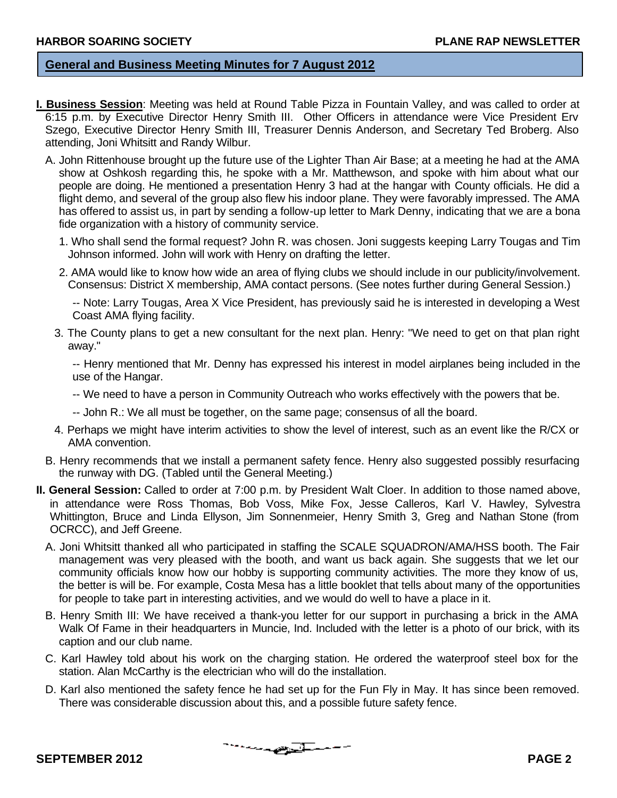#### **General and Business Meeting Minutes for 7 August 2012**

- **I. Business Session**: Meeting was held at Round Table Pizza in Fountain Valley, and was called to order at 6:15 p.m. by Executive Director Henry Smith III. Other Officers in attendance were Vice President Erv Szego, Executive Director Henry Smith III, Treasurer Dennis Anderson, and Secretary Ted Broberg. Also attending, Joni Whitsitt and Randy Wilbur.
	- A. John Rittenhouse brought up the future use of the Lighter Than Air Base; at a meeting he had at the AMA show at Oshkosh regarding this, he spoke with a Mr. Matthewson, and spoke with him about what our people are doing. He mentioned a presentation Henry 3 had at the hangar with County officials. He did a flight demo, and several of the group also flew his indoor plane. They were favorably impressed. The AMA has offered to assist us, in part by sending a follow-up letter to Mark Denny, indicating that we are a bona fide organization with a history of community service.
		- 1. Who shall send the formal request? John R. was chosen. Joni suggests keeping Larry Tougas and Tim Johnson informed. John will work with Henry on drafting the letter.
		- 2. AMA would like to know how wide an area of flying clubs we should include in our publicity/involvement. Consensus: District X membership, AMA contact persons. (See notes further during General Session.)

-- Note: Larry Tougas, Area X Vice President, has previously said he is interested in developing a West Coast AMA flying facility.

3. The County plans to get a new consultant for the next plan. Henry: "We need to get on that plan right away."

-- Henry mentioned that Mr. Denny has expressed his interest in model airplanes being included in the use of the Hangar.

- -- We need to have a person in Community Outreach who works effectively with the powers that be.
- -- John R.: We all must be together, on the same page; consensus of all the board.
- 4. Perhaps we might have interim activities to show the level of interest, such as an event like the R/CX or AMA convention.
- B. Henry recommends that we install a permanent safety fence. Henry also suggested possibly resurfacing the runway with DG. (Tabled until the General Meeting.)
- **II. General Session:** Called to order at 7:00 p.m. by President Walt Cloer. In addition to those named above, in attendance were Ross Thomas, Bob Voss, Mike Fox, Jesse Calleros, Karl V. Hawley, Sylvestra Whittington, Bruce and Linda Ellyson, Jim Sonnenmeier, Henry Smith 3, Greg and Nathan Stone (from OCRCC), and Jeff Greene.
	- A. Joni Whitsitt thanked all who participated in staffing the SCALE SQUADRON/AMA/HSS booth. The Fair management was very pleased with the booth, and want us back again. She suggests that we let our community officials know how our hobby is supporting community activities. The more they know of us, the better is will be. For example, Costa Mesa has a little booklet that tells about many of the opportunities for people to take part in interesting activities, and we would do well to have a place in it.
	- B. Henry Smith III: We have received a thank-you letter for our support in purchasing a brick in the AMA Walk Of Fame in their headquarters in Muncie, Ind. Included with the letter is a photo of our brick, with its caption and our club name.
	- C. Karl Hawley told about his work on the charging station. He ordered the waterproof steel box for the station. Alan McCarthy is the electrician who will do the installation.
	- D. Karl also mentioned the safety fence he had set up for the Fun Fly in May. It has since been removed. There was considerable discussion about this, and a possible future safety fence.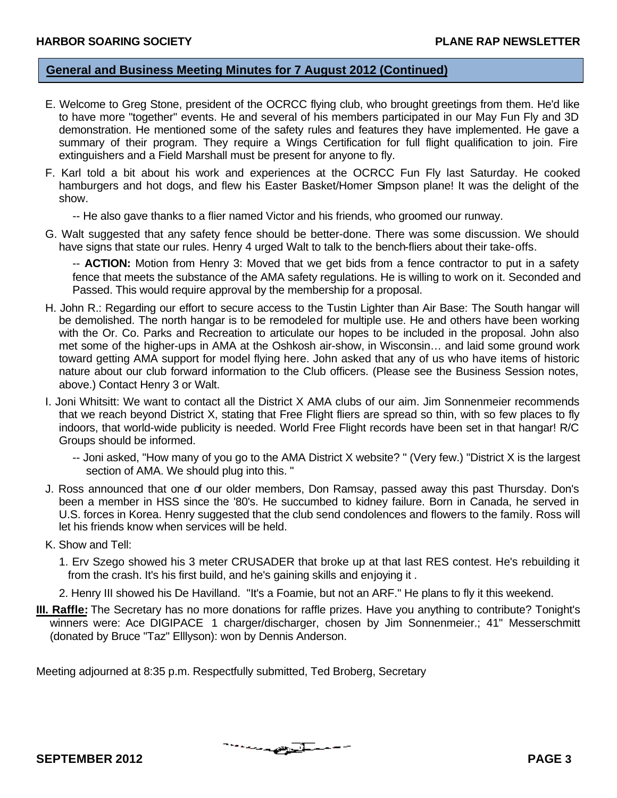#### **General and Business Meeting Minutes for 7 August 2012 (Continued)**

- E. Welcome to Greg Stone, president of the OCRCC flying club, who brought greetings from them. He'd like to have more "together" events. He and several of his members participated in our May Fun Fly and 3D demonstration. He mentioned some of the safety rules and features they have implemented. He gave a summary of their program. They require a Wings Certification for full flight qualification to join. Fire extinguishers and a Field Marshall must be present for anyone to fly.
- F. Karl told a bit about his work and experiences at the OCRCC Fun Fly last Saturday. He cooked hamburgers and hot dogs, and flew his Easter Basket/Homer Simpson plane! It was the delight of the show.
	- -- He also gave thanks to a flier named Victor and his friends, who groomed our runway.
- G. Walt suggested that any safety fence should be better-done. There was some discussion. We should have signs that state our rules. Henry 4 urged Walt to talk to the bench-fliers about their take-offs.

-- **ACTION:** Motion from Henry 3: Moved that we get bids from a fence contractor to put in a safety fence that meets the substance of the AMA safety regulations. He is willing to work on it. Seconded and Passed. This would require approval by the membership for a proposal.

- H. John R.: Regarding our effort to secure access to the Tustin Lighter than Air Base: The South hangar will be demolished. The north hangar is to be remodeled for multiple use. He and others have been working with the Or. Co. Parks and Recreation to articulate our hopes to be included in the proposal. John also met some of the higher-ups in AMA at the Oshkosh air-show, in Wisconsin… and laid some ground work toward getting AMA support for model flying here. John asked that any of us who have items of historic nature about our club forward information to the Club officers. (Please see the Business Session notes, above.) Contact Henry 3 or Walt.
- I. Joni Whitsitt: We want to contact all the District X AMA clubs of our aim. Jim Sonnenmeier recommends that we reach beyond District X, stating that Free Flight fliers are spread so thin, with so few places to fly indoors, that world-wide publicity is needed. World Free Flight records have been set in that hangar! R/C Groups should be informed.
	- -- Joni asked, "How many of you go to the AMA District X website? " (Very few.) "District X is the largest section of AMA. We should plug into this. "
- J. Ross announced that one of our older members, Don Ramsay, passed away this past Thursday. Don's been a member in HSS since the '80's. He succumbed to kidney failure. Born in Canada, he served in U.S. forces in Korea. Henry suggested that the club send condolences and flowers to the family. Ross will let his friends know when services will be held.
- K. Show and Tell:
	- 1. Erv Szego showed his 3 meter CRUSADER that broke up at that last RES contest. He's rebuilding it from the crash. It's his first build, and he's gaining skills and enjoying it .
	- 2. Henry III showed his De Havilland. "It's a Foamie, but not an ARF." He plans to fly it this weekend.
- **III. Raffle:** The Secretary has no more donations for raffle prizes. Have you anything to contribute? Tonight's winners were: Ace DIGIPACE 1 charger/discharger, chosen by Jim Sonnenmeier.; 41" Messerschmitt (donated by Bruce "Taz" Elllyson): won by Dennis Anderson.

Meeting adjourned at 8:35 p.m. Respectfully submitted, Ted Broberg, Secretary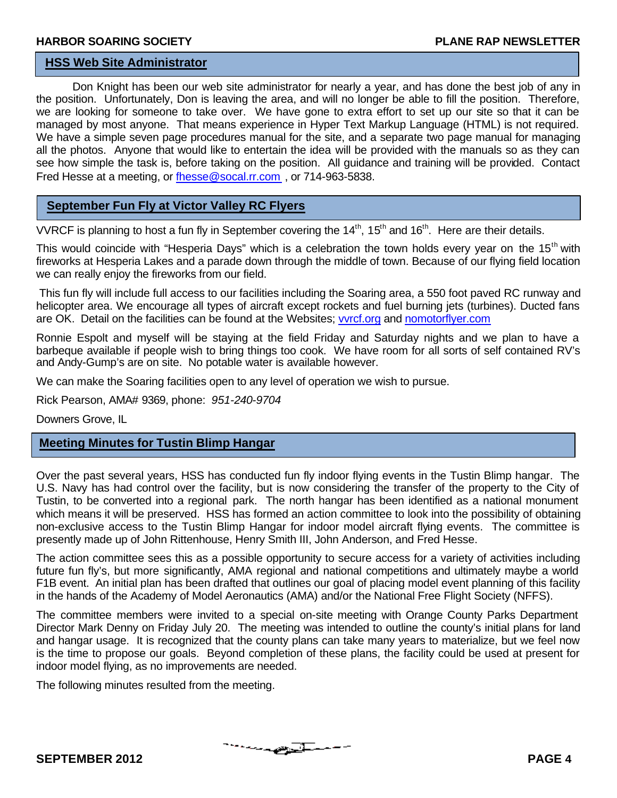#### **HSS Web Site Administrator**

Don Knight has been our web site administrator for nearly a year, and has done the best job of any in the position. Unfortunately, Don is leaving the area, and will no longer be able to fill the position. Therefore, we are looking for someone to take over. We have gone to extra effort to set up our site so that it can be managed by most anyone. That means experience in Hyper Text Markup Language (HTML) is not required. We have a simple seven page procedures manual for the site, and a separate two page manual for managing all the photos. Anyone that would like to entertain the idea will be provided with the manuals so as they can see how simple the task is, before taking on the position. All guidance and training will be provided. Contact Fred Hesse at a meeting, or fhesse@socal.rr.com, or 714-963-5838.

#### **September Fun Fly at Victor Valley RC Flyers**

VVRCF is planning to host a fun fly in September covering the  $14<sup>th</sup>$ , 15<sup>th</sup> and 16<sup>th</sup>. Here are their details.

This would coincide with "Hesperia Days" which is a celebration the town holds every year on the 15<sup>th</sup> with fireworks at Hesperia Lakes and a parade down through the middle of town. Because of our flying field location we can really enjoy the fireworks from our field.

This fun fly will include full access to our facilities including the Soaring area, a 550 foot paved RC runway and helicopter area. We encourage all types of aircraft except rockets and fuel burning jets (turbines). Ducted fans are OK. Detail on the facilities can be found at the Websites; vvrcf.org and nomotorflyer.com

Ronnie Espolt and myself will be staying at the field Friday and Saturday nights and we plan to have a barbeque available if people wish to bring things too cook. We have room for all sorts of self contained RV's and Andy-Gump's are on site. No potable water is available however.

We can make the Soaring facilities open to any level of operation we wish to pursue.

Rick Pearson, AMA# 9369, phone: *951-240-9704*

Downers Grove, IL

#### **Meeting Minutes for Tustin Blimp Hangar**

Over the past several years, HSS has conducted fun fly indoor flying events in the Tustin Blimp hangar. The U.S. Navy has had control over the facility, but is now considering the transfer of the property to the City of Tustin, to be converted into a regional park. The north hangar has been identified as a national monument which means it will be preserved. HSS has formed an action committee to look into the possibility of obtaining non-exclusive access to the Tustin Blimp Hangar for indoor model aircraft flying events. The committee is presently made up of John Rittenhouse, Henry Smith III, John Anderson, and Fred Hesse.

The action committee sees this as a possible opportunity to secure access for a variety of activities including future fun fly's, but more significantly, AMA regional and national competitions and ultimately maybe a world F1B event. An initial plan has been drafted that outlines our goal of placing model event planning of this facility in the hands of the Academy of Model Aeronautics (AMA) and/or the National Free Flight Society (NFFS).

The committee members were invited to a special on-site meeting with Orange County Parks Department Director Mark Denny on Friday July 20. The meeting was intended to outline the county's initial plans for land and hangar usage. It is recognized that the county plans can take many years to materialize, but we feel now is the time to propose our goals. Beyond completion of these plans, the facility could be used at present for indoor model flying, as no improvements are needed.

<u>the complete of the set of the set of the set of the set of the set of the set of the set of the set of the set of the set of the set of the set of the set of the set of the set of the set of the set of the set of the set</u>

The following minutes resulted from the meeting.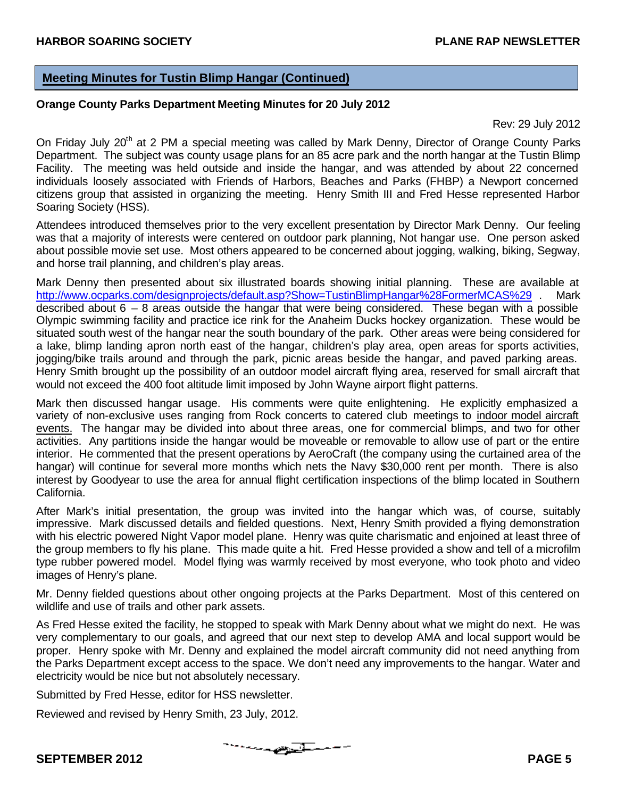#### **Meeting Minutes for Tustin Blimp Hangar (Continued)**

#### **Orange County Parks Department Meeting Minutes for 20 July 2012**

Rev: 29 July 2012

On Friday July 20<sup>th</sup> at 2 PM a special meeting was called by Mark Denny, Director of Orange County Parks Department. The subject was county usage plans for an 85 acre park and the north hangar at the Tustin Blimp Facility. The meeting was held outside and inside the hangar, and was attended by about 22 concerned individuals loosely associated with Friends of Harbors, Beaches and Parks (FHBP) a Newport concerned citizens group that assisted in organizing the meeting. Henry Smith III and Fred Hesse represented Harbor Soaring Society (HSS).

Attendees introduced themselves prior to the very excellent presentation by Director Mark Denny. Our feeling was that a majority of interests were centered on outdoor park planning, Not hangar use. One person asked about possible movie set use. Most others appeared to be concerned about jogging, walking, biking, Segway, and horse trail planning, and children's play areas.

Mark Denny then presented about six illustrated boards showing initial planning. These are available at http://www.ocparks.com/designprojects/default.asp?Show=TustinBlimpHangar%28FormerMCAS%29 . Mark described about  $6 - 8$  areas outside the hangar that were being considered. These began with a possible Olympic swimming facility and practice ice rink for the Anaheim Ducks hockey organization. These would be situated south west of the hangar near the south boundary of the park. Other areas were being considered for a lake, blimp landing apron north east of the hangar, children's play area, open areas for sports activities, jogging/bike trails around and through the park, picnic areas beside the hangar, and paved parking areas. Henry Smith brought up the possibility of an outdoor model aircraft flying area, reserved for small aircraft that would not exceed the 400 foot altitude limit imposed by John Wayne airport flight patterns.

Mark then discussed hangar usage. His comments were quite enlightening. He explicitly emphasized a variety of non-exclusive uses ranging from Rock concerts to catered club meetings to indoor model aircraft events. The hangar may be divided into about three areas, one for commercial blimps, and two for other activities. Any partitions inside the hangar would be moveable or removable to allow use of part or the entire interior. He commented that the present operations by AeroCraft (the company using the curtained area of the hangar) will continue for several more months which nets the Navy \$30,000 rent per month. There is also interest by Goodyear to use the area for annual flight certification inspections of the blimp located in Southern California.

After Mark's initial presentation, the group was invited into the hangar which was, of course, suitably impressive. Mark discussed details and fielded questions. Next, Henry Smith provided a flying demonstration with his electric powered Night Vapor model plane. Henry was quite charismatic and enjoined at least three of the group members to fly his plane. This made quite a hit. Fred Hesse provided a show and tell of a microfilm type rubber powered model. Model flying was warmly received by most everyone, who took photo and video images of Henry's plane.

Mr. Denny fielded questions about other ongoing projects at the Parks Department. Most of this centered on wildlife and use of trails and other park assets.

As Fred Hesse exited the facility, he stopped to speak with Mark Denny about what we might do next. He was very complementary to our goals, and agreed that our next step to develop AMA and local support would be proper. Henry spoke with Mr. Denny and explained the model aircraft community did not need anything from the Parks Department except access to the space. We don't need any improvements to the hangar. Water and electricity would be nice but not absolutely necessary.

Submitted by Fred Hesse, editor for HSS newsletter.

Reviewed and revised by Henry Smith, 23 July, 2012.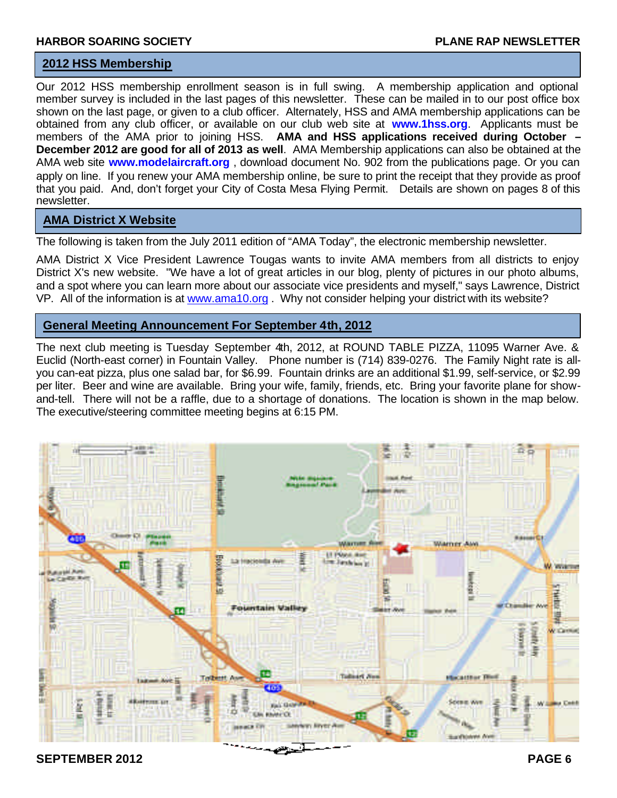#### **2012 HSS Membership**

Our 2012 HSS membership enrollment season is in full swing. A membership application and optional member survey is included in the last pages of this newsletter. These can be mailed in to our post office box shown on the last page, or given to a club officer. Alternately, HSS and AMA membership applications can be obtained from any club officer, or available on our club web site at **www.1hss.org**. Applicants must be members of the AMA prior to joining HSS. **AMA and HSS applications received during October – December 2012 are good for all of 2013 as well**. AMA Membership applications can also be obtained at the AMA web site **www.modelaircraft.org** , download document No. 902 from the publications page. Or you can apply on line. If you renew your AMA membership online, be sure to print the receipt that they provide as proof that you paid. And, don't forget your City of Costa Mesa Flying Permit. Details are shown on pages 8 of this newsletter.

#### **AMA District X Website**

The following is taken from the July 2011 edition of "AMA Today", the electronic membership newsletter.

AMA District X Vice President Lawrence Tougas wants to invite AMA members from all districts to enjoy District X's new website. "We have a lot of great articles in our blog, plenty of pictures in our photo albums, and a spot where you can learn more about our associate vice presidents and myself," says Lawrence, District VP. All of the information is at www.ama10.org. Why not consider helping your district with its website?

#### **General Meeting Announcement For September 4th, 2012**

The next club meeting is Tuesday September 4th, 2012, at ROUND TABLE PIZZA, 11095 Warner Ave. & Euclid (North-east corner) in Fountain Valley. Phone number is (714) 839-0276. The Family Night rate is allyou can-eat pizza, plus one salad bar, for \$6.99. Fountain drinks are an additional \$1.99, self-service, or \$2.99 per liter. Beer and wine are available. Bring your wife, family, friends, etc. Bring your favorite plane for showand-tell. There will not be a raffle, due to a shortage of donations. The location is shown in the map below. The executive/steering committee meeting begins at 6:15 PM.



**SEPTEMBER 2012** PAGE 6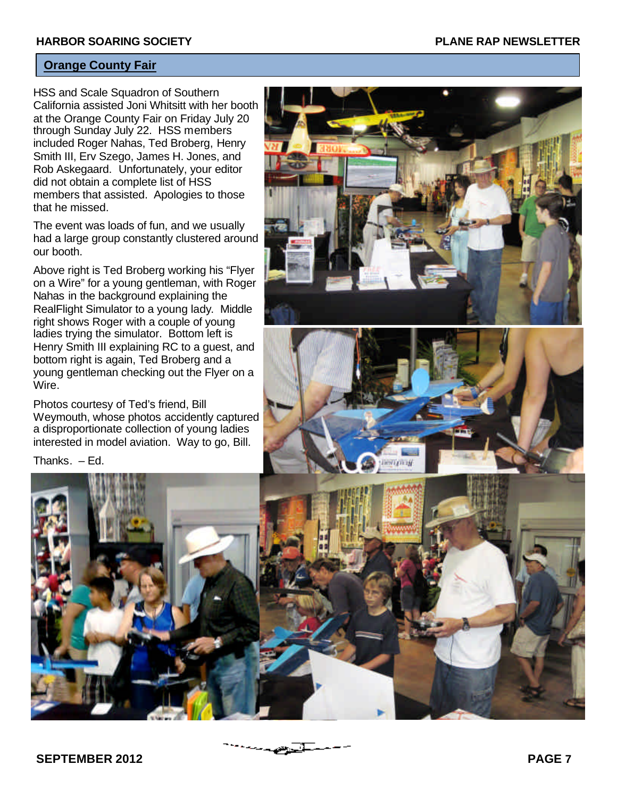#### **Orange County Fair**

HSS and Scale Squadron of Southern California assisted Joni Whitsitt with her booth at the Orange County Fair on Friday July 20 through Sunday July 22. HSS members included Roger Nahas, Ted Broberg, Henry Smith III, Erv Szego, James H. Jones, and Rob Askegaard. Unfortunately, your editor did not obtain a complete list of HSS members that assisted. Apologies to those that he missed.

The event was loads of fun, and we usually had a large group constantly clustered around our booth.

Above right is Ted Broberg working his "Flyer on a Wire" for a young gentleman, with Roger Nahas in the background explaining the RealFlight Simulator to a young lady. Middle right shows Roger with a couple of young ladies trying the simulator. Bottom left is Henry Smith III explaining RC to a guest, and bottom right is again, Ted Broberg and a young gentleman checking out the Flyer on a Wire.

Photos courtesy of Ted's friend, Bill Weymouth, whose photos accidently captured a disproportionate collection of young ladies interested in model aviation. Way to go, Bill.

Thanks. – Ed.





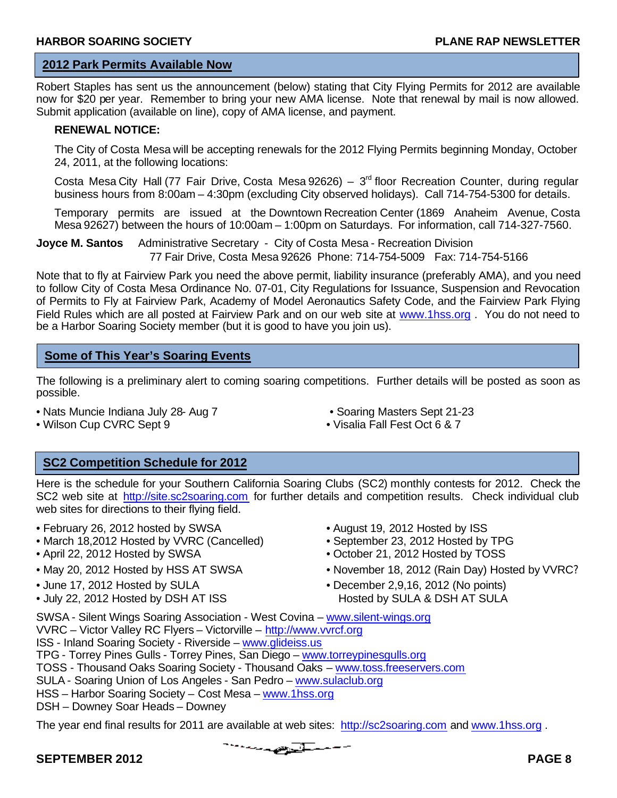#### **2012 Park Permits Available Now**

Robert Staples has sent us the announcement (below) stating that City Flying Permits for 2012 are available now for \$20 per year. Remember to bring your new AMA license. Note that renewal by mail is now allowed. Submit application (available on line), copy of AMA license, and payment.

#### **RENEWAL NOTICE:**

The City of Costa Mesa will be accepting renewals for the 2012 Flying Permits beginning Monday, October 24, 2011, at the following locations:

Costa Mesa City Hall (77 Fair Drive, Costa Mesa 92626) –  $3<sup>rd</sup>$  floor Recreation Counter, during regular business hours from 8:00am – 4:30pm (excluding City observed holidays). Call 714-754-5300 for details.

Temporary permits are issued at the Downtown Recreation Center (1869 Anaheim Avenue, Costa Mesa 92627) between the hours of 10:00am – 1:00pm on Saturdays. For information, call 714-327-7560.

**Joyce M. Santos** Administrative Secretary - City of Costa Mesa - Recreation Division 77 Fair Drive, Costa Mesa 92626 Phone: 714-754-5009 Fax: 714-754-5166

Note that to fly at Fairview Park you need the above permit, liability insurance (preferably AMA), and you need to follow City of Costa Mesa Ordinance No. 07-01, City Regulations for Issuance, Suspension and Revocation of Permits to Fly at Fairview Park, Academy of Model Aeronautics Safety Code, and the Fairview Park Flying Field Rules which are all posted at Fairview Park and on our web site at www.1hss.org . You do not need to be a Harbor Soaring Society member (but it is good to have you join us).

#### **Some of This Year's Soaring Events**

The following is a preliminary alert to coming soaring competitions. Further details will be posted as soon as possible.

- Nats Muncie Indiana July 28- Aug 7 Soaring Masters Sept 21-23
	-

- 
- Wilson Cup CVRC Sept 9 Visalia Fall Fest Oct 6 & 7

#### **SC2 Competition Schedule for 2012**

Here is the schedule for your Southern California Soaring Clubs (SC2) monthly contests for 2012. Check the SC2 web site at http://site.sc2soaring.com for further details and competition results. Check individual club web sites for directions to their flying field.

- February 26, 2012 hosted by SWSA August 19, 2012 Hosted by ISS
- March 18,2012 Hosted by VVRC (Cancelled) September 23, 2012 Hosted by TPG
- April 22, 2012 Hosted by SWSA October 21, 2012 Hosted by TOSS
- 
- 
- July 22, 2012 Hosted by DSH AT ISS Hosted by SULA & DSH AT SULA
- 
- 
- 
- May 20, 2012 Hosted by HSS AT SWSA November 18, 2012 (Rain Day) Hosted by VVRC?
- June 17, 2012 Hosted by SULA December 2,9,16, 2012 (No points)

SWSA - Silent Wings Soaring Association - West Covina – www.silent-wings.org VVRC – Victor Valley RC Flyers – Victorville – http://www.vvrcf.org ISS - Inland Soaring Society - Riverside – www.glideiss.us TPG - Torrey Pines Gulls - Torrey Pines, San Diego – www.torreypinesgulls.org TOSS - Thousand Oaks Soaring Society - Thousand Oaks – www.toss.freeservers.com SULA - Soaring Union of Los Angeles - San Pedro – www.sulaclub.org HSS – Harbor Soaring Society – Cost Mesa – www.1hss.org

DSH – Downey Soar Heads – Downey

The year end final results for 2011 are available at web sites: http://sc2soaring.com and www.1hss.org .

The Secretary Services of the Services of the Services of the Services of the Services of the Services of the

#### **SEPTEMBER 2012** PAGE 8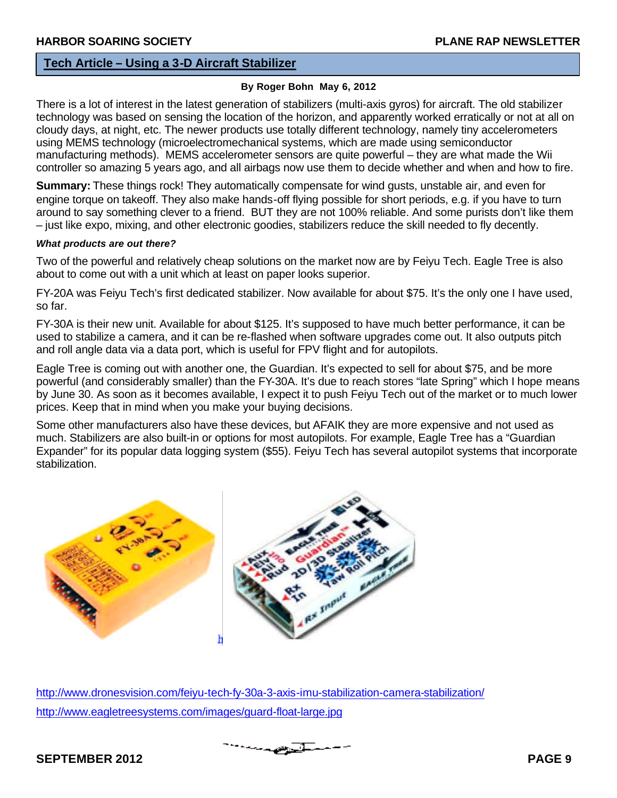**flying Field**

#### **Tech Article – Using a 3-D Aircraft Stabilizer**

#### **By Roger Bohn May 6, 2012**

There is a lot of interest in the latest generation of stabilizers (multi-axis gyros) for aircraft. The old stabilizer technology was based on sensing the location of the horizon, and apparently worked erratically or not at all on cloudy days, at night, etc. The newer products use totally different technology, namely tiny accelerometers using MEMS technology (microelectromechanical systems, which are made using semiconductor manufacturing methods). MEMS accelerometer sensors are quite powerful – they are what made the Wii controller so amazing 5 years ago, and all airbags now use them to decide whether and when and how to fire.

**Summary:** These things rock! They automatically compensate for wind gusts, unstable air, and even for engine torque on takeoff. They also make hands-off flying possible for short periods, e.g. if you have to turn around to say something clever to a friend. BUT they are not 100% reliable. And some purists don't like them – just like expo, mixing, and other electronic goodies, stabilizers reduce the skill needed to fly decently.

#### *What products are out there?*

Two of the powerful and relatively cheap solutions on the market now are by Feiyu Tech. Eagle Tree is also about to come out with a unit which at least on paper looks superior.

FY-20A was Feiyu Tech's first dedicated stabilizer. Now available for about \$75. It's the only one I have used, so far.

FY-30A is their new unit. Available for about \$125. It's supposed to have much better performance, it can be used to stabilize a camera, and it can be re-flashed when software upgrades come out. It also outputs pitch and roll angle data via a data port, which is useful for FPV flight and for autopilots.

Eagle Tree is coming out with another one, the Guardian. It's expected to sell for about \$75, and be more powerful (and considerably smaller) than the FY-30A. It's due to reach stores "late Spring" which I hope means by June 30. As soon as it becomes available, I expect it to push Feiyu Tech out of the market or to much lower prices. Keep that in mind when you make your buying decisions.

Some other manufacturers also have these devices, but AFAIK they are more expensive and not used as much. Stabilizers are also built-in or options for most autopilots. For example, Eagle Tree has a "Guardian Expander" for its popular data logging system (\$55). Feiyu Tech has several autopilot systems that incorporate stabilization.



http://www.dronesvision.com/feiyu-tech-fy-30a-3-axis-imu-stabilization-camera-stabilization/ http://www.eagletreesystems.com/images/guard-float-large.jpg

المتعصبات

#### **SEPTEMBER 2012** PAGE 9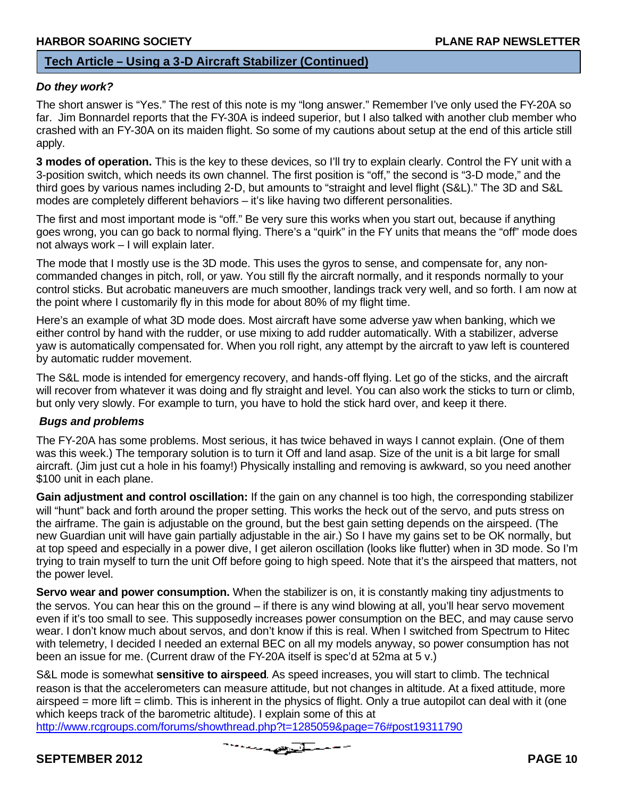#### **Tech Article – Using a 3-D Aircraft Stabilizer (Continued)**

#### *Do they work?* **flying Field**

The short answer is "Yes." The rest of this note is my "long answer." Remember I've only used the FY-20A so far. Jim Bonnardel reports that the FY-30A is indeed superior, but I also talked with another club member who crashed with an FY-30A on its maiden flight. So some of my cautions about setup at the end of this article still apply.

**3 modes of operation.** This is the key to these devices, so I'll try to explain clearly. Control the FY unit with a 3-position switch, which needs its own channel. The first position is "off," the second is "3-D mode," and the third goes by various names including 2-D, but amounts to "straight and level flight (S&L)." The 3D and S&L modes are completely different behaviors – it's like having two different personalities.

The first and most important mode is "off." Be very sure this works when you start out, because if anything goes wrong, you can go back to normal flying. There's a "quirk" in the FY units that means the "off" mode does not always work – I will explain later.

The mode that I mostly use is the 3D mode. This uses the gyros to sense, and compensate for, any noncommanded changes in pitch, roll, or yaw. You still fly the aircraft normally, and it responds normally to your control sticks. But acrobatic maneuvers are much smoother, landings track very well, and so forth. I am now at the point where I customarily fly in this mode for about 80% of my flight time.

Here's an example of what 3D mode does. Most aircraft have some adverse yaw when banking, which we either control by hand with the rudder, or use mixing to add rudder automatically. With a stabilizer, adverse yaw is automatically compensated for. When you roll right, any attempt by the aircraft to yaw left is countered by automatic rudder movement.

The S&L mode is intended for emergency recovery, and hands-off flying. Let go of the sticks, and the aircraft will recover from whatever it was doing and fly straight and level. You can also work the sticks to turn or climb, but only very slowly. For example to turn, you have to hold the stick hard over, and keep it there.

#### *Bugs and problems*

The FY-20A has some problems. Most serious, it has twice behaved in ways I cannot explain. (One of them was this week.) The temporary solution is to turn it Off and land asap. Size of the unit is a bit large for small aircraft. (Jim just cut a hole in his foamy!) Physically installing and removing is awkward, so you need another \$100 unit in each plane.

**Gain adjustment and control oscillation:** If the gain on any channel is too high, the corresponding stabilizer will "hunt" back and forth around the proper setting. This works the heck out of the servo, and puts stress on the airframe. The gain is adjustable on the ground, but the best gain setting depends on the airspeed. (The new Guardian unit will have gain partially adjustable in the air.) So I have my gains set to be OK normally, but at top speed and especially in a power dive, I get aileron oscillation (looks like flutter) when in 3D mode. So I'm trying to train myself to turn the unit Off before going to high speed. Note that it's the airspeed that matters, not the power level.

**Servo wear and power consumption.** When the stabilizer is on, it is constantly making tiny adjustments to the servos. You can hear this on the ground – if there is any wind blowing at all, you'll hear servo movement even if it's too small to see. This supposedly increases power consumption on the BEC, and may cause servo wear. I don't know much about servos, and don't know if this is real. When I switched from Spectrum to Hitec with telemetry, I decided I needed an external BEC on all my models anyway, so power consumption has not been an issue for me. (Current draw of the FY-20A itself is spec'd at 52ma at 5 v.)

S&L mode is somewhat **sensitive to airspeed**. As speed increases, you will start to climb. The technical reason is that the accelerometers can measure attitude, but not changes in altitude. At a fixed attitude, more airspeed = more lift = climb. This is inherent in the physics of flight. Only a true autopilot can deal with it (one which keeps track of the barometric altitude). I explain some of this at

http://www.rcgroups.com/forums/showthread.php?t=1285059&page=76#post19311790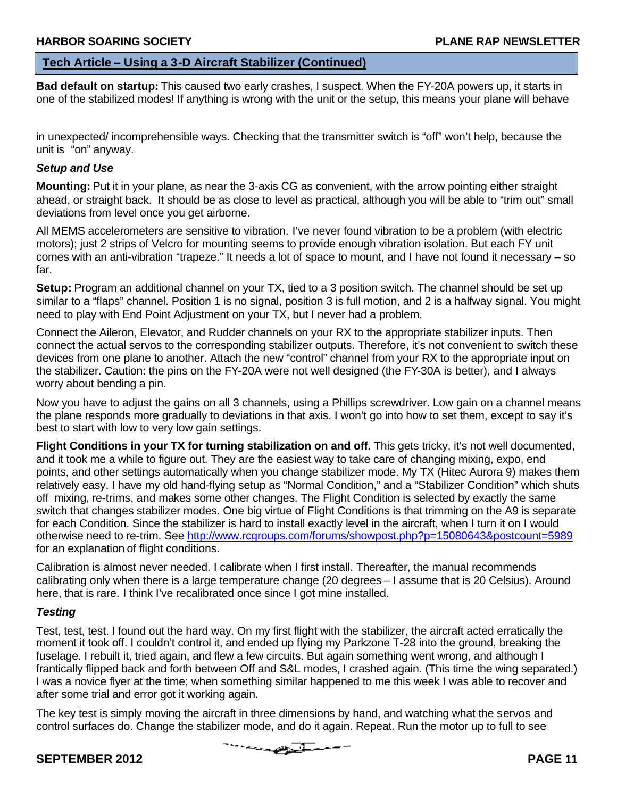#### **Tech Article – Using a 3-D Aircraft Stabilizer (Continued)**

**Bad default on startup:** This caused two early crashes, I suspect. When the FY-20A powers up, it starts in one of the stabilized modes! If anything is wrong with the unit or the setup, this means your plane will behave **flying Field**

in unexpected/ incomprehensible ways. Checking that the transmitter switch is "off" won't help, because the unit is "on" anyway.

#### *Setup and Use*

**Mounting:** Put it in your plane, as near the 3-axis CG as convenient, with the arrow pointing either straight ahead, or straight back. It should be as close to level as practical, although you will be able to "trim out" small deviations from level once you get airborne.

All MEMS accelerometers are sensitive to vibration. I've never found vibration to be a problem (with electric motors); just 2 strips of Velcro for mounting seems to provide enough vibration isolation. But each FY unit comes with an anti-vibration "trapeze." It needs a lot of space to mount, and I have not found it necessary – so far.

**Setup:** Program an additional channel on your TX, tied to a 3 position switch. The channel should be set up similar to a "flaps" channel. Position 1 is no signal, position 3 is full motion, and 2 is a halfway signal. You might need to play with End Point Adjustment on your TX, but I never had a problem.

Connect the Aileron, Elevator, and Rudder channels on your RX to the appropriate stabilizer inputs. Then connect the actual servos to the corresponding stabilizer outputs. Therefore, it's not convenient to switch these devices from one plane to another. Attach the new "control" channel from your RX to the appropriate input on the stabilizer. Caution: the pins on the FY-20A were not well designed (the FY-30A is better), and I always worry about bending a pin.

Now you have to adjust the gains on all 3 channels, using a Phillips screwdriver. Low gain on a channel means the plane responds more gradually to deviations in that axis. I won't go into how to set them, except to say it's best to start with low to very low gain settings.

**Flight Conditions in your TX for turning stabilization on and off.** This gets tricky, it's not well documented, and it took me a while to figure out. They are the easiest way to take care of changing mixing, expo, end points, and other settings automatically when you change stabilizer mode. My TX (Hitec Aurora 9) makes them relatively easy. I have my old hand-flying setup as "Normal Condition," and a "Stabilizer Condition" which shuts off mixing, re-trims, and makes some other changes. The Flight Condition is selected by exactly the same switch that changes stabilizer modes. One big virtue of Flight Conditions is that trimming on the A9 is separate for each Condition. Since the stabilizer is hard to install exactly level in the aircraft, when I turn it on I would otherwise need to re-trim. See http://www.rcgroups.com/forums/showpost.php?p=15080643&postcount=5989 for an explanation of flight conditions.

Calibration is almost never needed. I calibrate when I first install. Thereafter, the manual recommends calibrating only when there is a large temperature change (20 degrees – I assume that is 20 Celsius). Around here, that is rare. I think I've recalibrated once since I got mine installed.

#### *Testing*

Test, test, test. I found out the hard way. On my first flight with the stabilizer, the aircraft acted erratically the moment it took off. I couldn't control it, and ended up flying my Parkzone T-28 into the ground, breaking the fuselage. I rebuilt it, tried again, and flew a few circuits. But again something went wrong, and although I frantically flipped back and forth between Off and S&L modes, I crashed again. (This time the wing separated.) I was a novice flyer at the time; when something similar happened to me this week I was able to recover and after some trial and error got it working again.

The key test is simply moving the aircraft in three dimensions by hand, and watching what the servos and control surfaces do. Change the stabilizer mode, and do it again. Repeat. Run the motor up to full to see

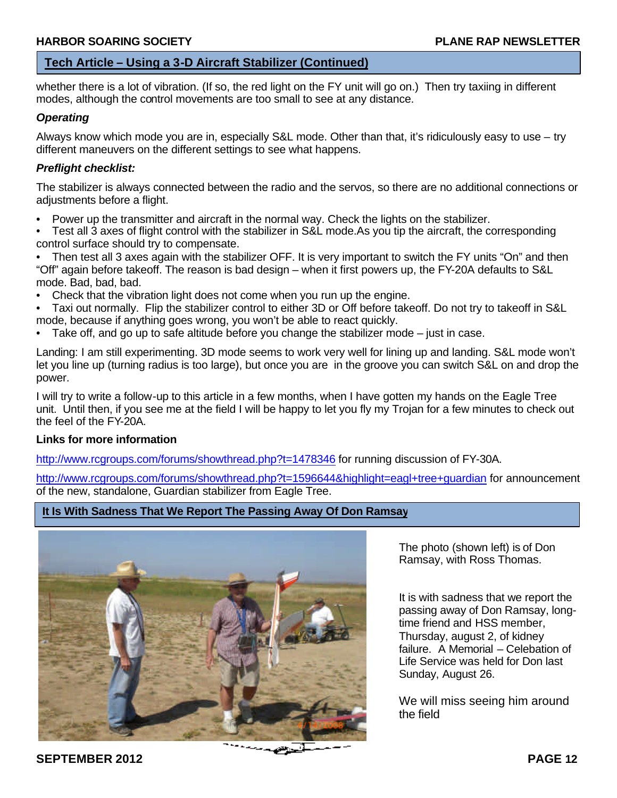#### **Tech Article – Using a 3-D Aircraft Stabilizer (Continued)**

whether there is a lot of vibration. (If so, the red light on the FY unit will go on.) Then try taxiing in different modes, although the control movements are too small to see at any distance. **flying Field**

#### *Operating*

Always know which mode you are in, especially S&L mode. Other than that, it's ridiculously easy to use – try different maneuvers on the different settings to see what happens.

#### *Preflight checklist:*

The stabilizer is always connected between the radio and the servos, so there are no additional connections or adjustments before a flight.

- Power up the transmitter and aircraft in the normal way. Check the lights on the stabilizer.
- Test all 3 axes of flight control with the stabilizer in S&L mode.As you tip the aircraft, the corresponding control surface should try to compensate.
- Then test all 3 axes again with the stabilizer OFF. It is very important to switch the FY units "On" and then "Off" again before takeoff. The reason is bad design – when it first powers up, the FY-20A defaults to S&L mode. Bad, bad, bad.
- Check that the vibration light does not come when you run up the engine.
- Taxi out normally. Flip the stabilizer control to either 3D or Off before takeoff. Do not try to takeoff in S&L mode, because if anything goes wrong, you won't be able to react quickly.
- Take off, and go up to safe altitude before you change the stabilizer mode  $-$  just in case.

Landing: I am still experimenting. 3D mode seems to work very well for lining up and landing. S&L mode won't let you line up (turning radius is too large), but once you are in the groove you can switch S&L on and drop the power.

I will try to write a follow-up to this article in a few months, when I have gotten my hands on the Eagle Tree unit. Until then, if you see me at the field I will be happy to let you fly my Trojan for a few minutes to check out the feel of the FY-20A.

#### **Links for more information**

http://www.rcgroups.com/forums/showthread.php?t=1478346 for running discussion of FY-30A.

http://www.rcgroups.com/forums/showthread.php?t=1596644&highlight=eagl+tree+guardian for announcement of the new, standalone, Guardian stabilizer from Eagle Tree.

#### **It Is With Sadness That We Report The Passing Away Of Don Ramsay**



**SEPTEMBER 2012 PAGE 12** 

The photo (shown left) is of Don Ramsay, with Ross Thomas.

It is with sadness that we report the passing away of Don Ramsay, longtime friend and HSS member, Thursday, august 2, of kidney failure. A Memorial – Celebation of Life Service was held for Don last Sunday, August 26.

We will miss seeing him around the field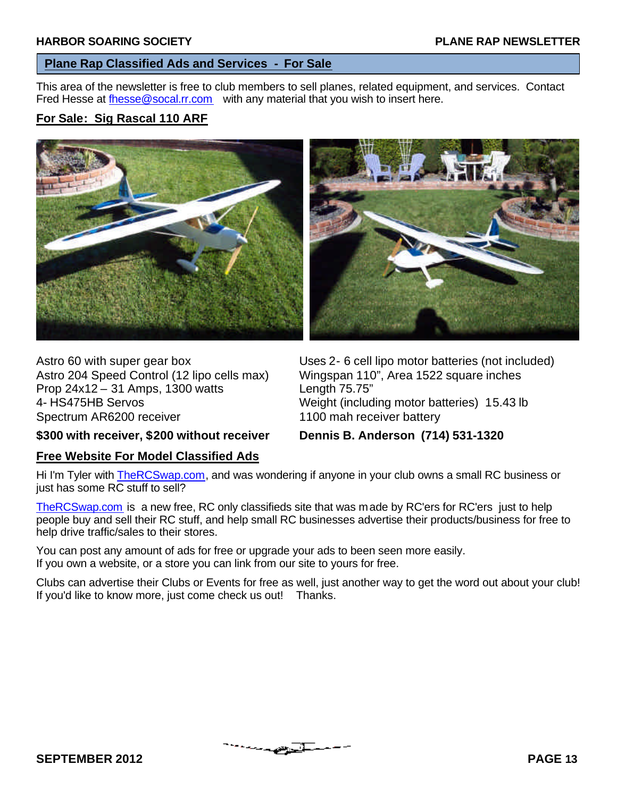### **Plane Rap Classified Ads and Services - For Sale**

This area of the newsletter is free to club members to sell planes, related equipment, and services. Contact Fred Hesse at fhesse@socal.rr.com with any material that you wish to insert here.

### **For Sale: Sig Rascal 110 ARF**





Astro 204 Speed Control (12 lipo cells max) Wingspan 110", Area 1522 square inches Prop 24x12 – 31 Amps, 1300 watts Length 75.75" 4- HS475HB Servos Weight (including motor batteries) 15.43 lb Spectrum AR6200 receiver 1100 mah receiver battery

Astro 60 with super gear box Uses 2- 6 cell lipo motor batteries (not included)

**\$300 with receiver, \$200 without receiver Dennis B. Anderson (714) 531-1320**

#### **Free Website For Model Classified Ads**

Hi I'm Tyler with TheRCSwap.com, and was wondering if anyone in your club owns a small RC business or just has some RC stuff to sell?

TheRCSwap.com is a new free, RC only classifieds site that was made by RC'ers for RC'ers just to help people buy and sell their RC stuff, and help small RC businesses advertise their products/business for free to help drive traffic/sales to their stores.

You can post any amount of ads for free or upgrade your ads to been seen more easily. If you own a website, or a store you can link from our site to yours for free.

Clubs can advertise their Clubs or Events for free as well, just another way to get the word out about your club! If you'd like to know more, just come check us out! Thanks.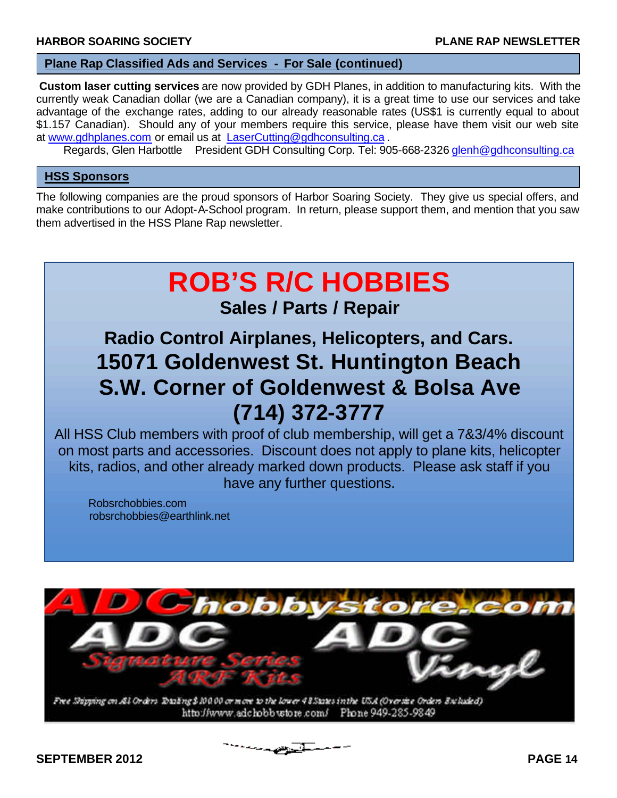#### **Plane Rap Classified Ads and Services - For Sale (continued)**

**Custom laser cutting services** are now provided by GDH Planes, in addition to manufacturing kits. With the currently weak Canadian dollar (we are a Canadian company), it is a great time to use our services and take advantage of the exchange rates, adding to our already reasonable rates (US\$1 is currently equal to about \$1.157 Canadian). Should any of your members require this service, please have them visit our web site at www.gdhplanes.com or email us at LaserCutting@gdhconsulting.ca .

Regards, Glen Harbottle President GDH Consulting Corp. Tel: 905-668-2326 glenh@gdhconsulting.ca

#### **HSS Sponsors**

The following companies are the proud sponsors of Harbor Soaring Society. They give us special offers, and make contributions to our Adopt-A-School program. In return, please support them, and mention that you saw them advertised in the HSS Plane Rap newsletter.

# **ROB'S R/C HOBBIES Sales / Parts / Repair**

# **Radio Control Airplanes, Helicopters, and Cars. 15071 Goldenwest St. Huntington Beach S.W. Corner of Goldenwest & Bolsa Ave (714) 372-3777**

All HSS Club members with proof of club membership, will get a 7&3/4% discount on most parts and accessories. Discount does not apply to plane kits, helicopter kits, radios, and other already marked down products. Please ask staff if you have any further questions.

Robsrchobbies.com robsrchobbies@earthlink.net

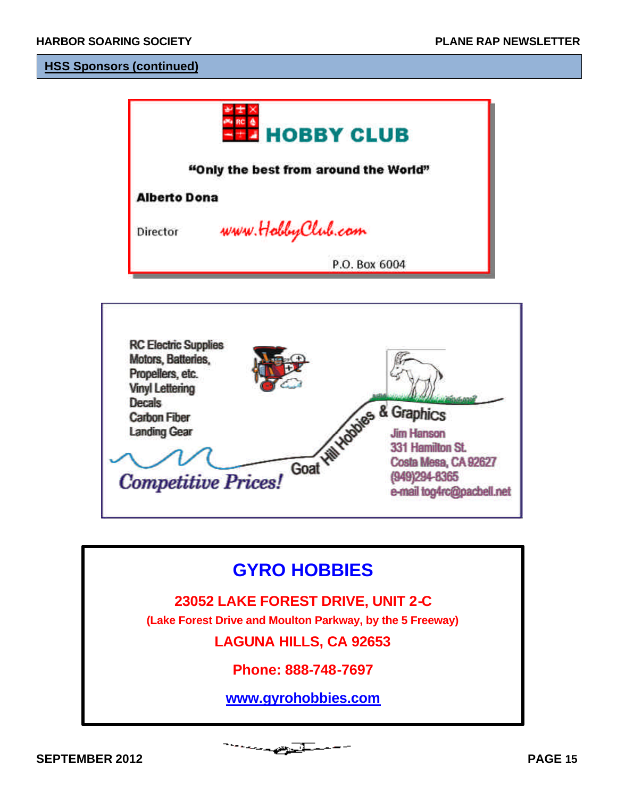#### **HSS Sponsors (continued)**

|                     | <b>HOBBY CLUB</b>                     |
|---------------------|---------------------------------------|
|                     | "Only the best from around the World" |
| <b>Alberto Dona</b> |                                       |
| Director            | www.HobbyClub.com                     |
|                     | P.O. Box 6004                         |



# **GYRO HOBBIES**

# **23052 LAKE FOREST DRIVE, UNIT 2-C**

**(Lake Forest Drive and Moulton Parkway, by the 5 Freeway)**

**LAGUNA HILLS, CA 92653**

**Phone: 888-748-7697**

**www.gyrohobbies.com**

المتعصبات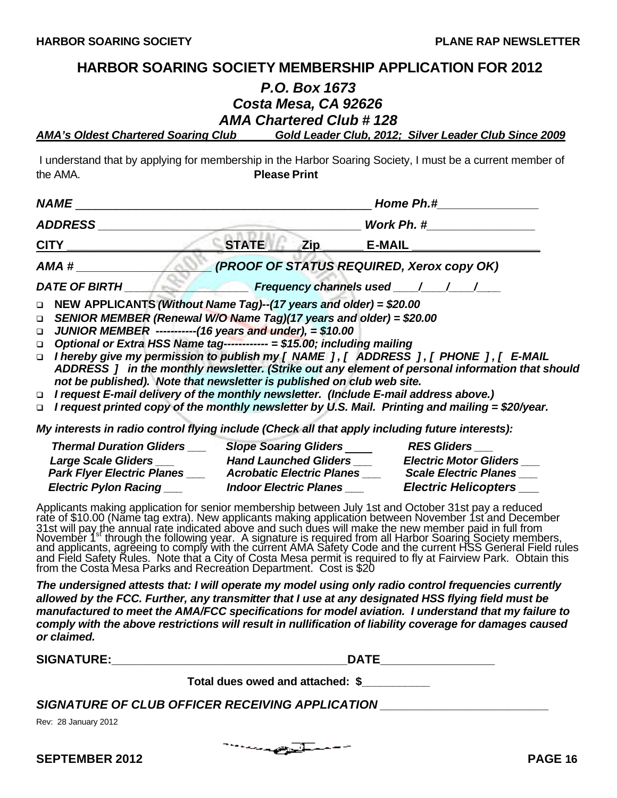#### **HARBOR SOARING SOCIETY MEMBERSHIP APPLICATION FOR 2012**

#### *P.O. Box 1673 Costa Mesa, CA 92626 AMA Chartered Club # 128*

*AMA's Oldest Chartered Soaring Club Gold Leader Club, 2012; Silver Leader Club Since 2009*

 I understand that by applying for membership in the Harbor Soaring Society, I must be a current member of the AMA. **Please Print**

| <b>NAME</b>                                                                                                                                                                                                                                                                                                              |              | Home Ph.# |                                                                                                                                                                                                                                                                                                                        |  |
|--------------------------------------------------------------------------------------------------------------------------------------------------------------------------------------------------------------------------------------------------------------------------------------------------------------------------|--------------|-----------|------------------------------------------------------------------------------------------------------------------------------------------------------------------------------------------------------------------------------------------------------------------------------------------------------------------------|--|
| <b>ADDRESS</b>                                                                                                                                                                                                                                                                                                           |              |           |                                                                                                                                                                                                                                                                                                                        |  |
|                                                                                                                                                                                                                                                                                                                          | <b>STATE</b> | Zip       | <b>E-MAIL</b>                                                                                                                                                                                                                                                                                                          |  |
| AMA #                                                                                                                                                                                                                                                                                                                    |              |           | (PROOF OF STATUS REQUIRED, Xerox copy OK)                                                                                                                                                                                                                                                                              |  |
| <b>DATE OF BIRTH</b>                                                                                                                                                                                                                                                                                                     |              |           | <b>Example 20 Frequency channels used 1997 / 1997</b>                                                                                                                                                                                                                                                                  |  |
| NEW APPLICANTS (Without Name Tag)--(17 years and older) = \$20.00<br>$\Box$<br>SENIOR MEMBER (Renewal W/O Name Tag)(17 years and older) = \$20.00<br>$\Box$<br>JUNIOR MEMBER ------------(16 years and under), = $$10.00$<br>$\Box$<br>Optional or Extra HSS Name tag------------ = \$15.00; including mailing<br>$\Box$ |              |           | □ I hereby give my permission to publish my [ NAME ], [ ADDRESS ], [ PHONE ], [ E-MAIL                                                                                                                                                                                                                                 |  |
| not be published). Note that newsletter is published on club web site.<br>I request E-mail delivery of the monthly newsletter. (Include E-mail address above.)<br>$\Box$<br>$\Box$                                                                                                                                       |              |           | ADDRESS 1 in the monthly newsletter. (Strike out any element of personal information that should<br>I request printed copy of the monthly newsletter by U.S. Mail. Printing and mailing = \$20/year.                                                                                                                   |  |
| My interests in radio control flying include (Check all that apply including future interests):                                                                                                                                                                                                                          |              |           |                                                                                                                                                                                                                                                                                                                        |  |
| Thermal Duration Gliders ______ Slope Soaring Gliders _________ RES Gliders _                                                                                                                                                                                                                                            |              |           | Large Scale Gliders _______________Hand Launched Gliders ___________Electric Motor Gliders ___<br>Park Flyer Electric Planes _____ Acrobatic Electric Planes _____ Scale Electric Planes ___<br>Electric Pylon Racing ___________ Indoor Electric Planes ___________Electric Helicopters ____                          |  |
|                                                                                                                                                                                                                                                                                                                          |              |           | Applicants making application for senior membership between July 1st and October 31st pay a reduced<br>rate of \$10.00 (Name tag extra). New applicants making application between November 1st and December<br>31st will pay the annual rate indicated above and such dues will make the new member paid in full from |  |

31st will pay the annual rate indicated above and such dues will make the new member paid in full from November 1st through the following year. A signature is required from all Harbor Soaring Society members, and applicants, agrĕeing to comply̆ with the current AMA Safety Code and the current HSS General Field rules and Field Safety Rules. Note that a City of Costa Mesa permit is required to fly at Fairview Park. Obtain this from the Costa Mesa Parks and Recreation Department. Cost is \$20

*The undersigned attests that: I will operate my model using only radio control frequencies currently allowed by the FCC. Further, any transmitter that I use at any designated HSS flying field must be manufactured to meet the AMA/FCC specifications for model aviation. I understand that my failure to comply with the above restrictions will result in nullification of liability coverage for damages caused or claimed.*

**SIGNATURE:\_\_\_\_\_\_\_\_\_\_\_\_\_\_\_\_\_\_\_\_\_\_\_\_\_\_\_\_\_\_\_\_\_\_\_DATE\_\_\_\_\_\_\_\_\_\_\_\_\_\_\_\_\_**

**Total dues owed and attached: \$\_\_\_\_\_\_\_\_\_\_\_**

*SIGNATURE OF CLUB OFFICER RECEIVING APPLICATION* **\_\_\_\_\_\_\_\_\_\_\_\_\_\_\_\_\_\_\_\_\_\_\_\_\_**

Rev: 28 January 2012

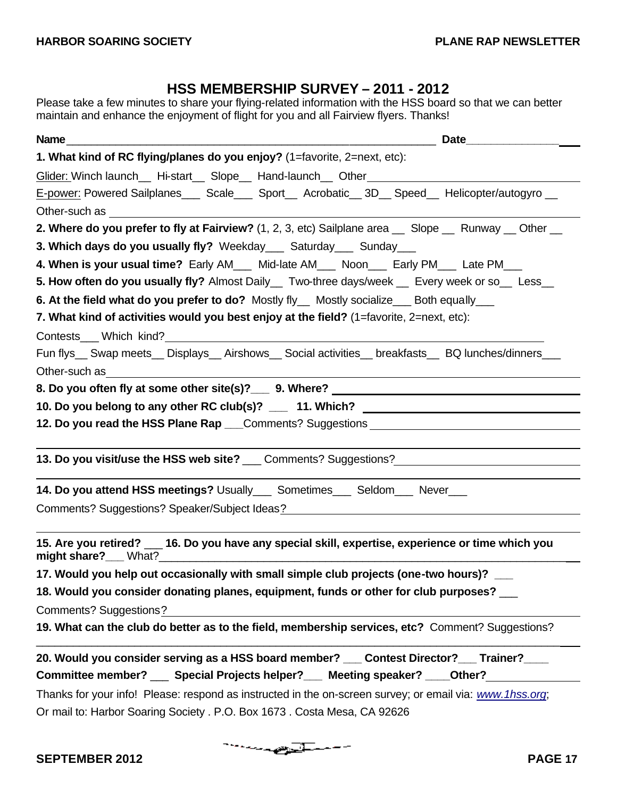## **HSS MEMBERSHIP SURVEY – 2011 - 2012**

Please take a few minutes to share your flying-related information with the HSS board so that we can better maintain and enhance the enjoyment of flight for you and all Fairview flyers. Thanks!

| Name<br>Date <u>Date</u>                                                                                                                                                                                                      |
|-------------------------------------------------------------------------------------------------------------------------------------------------------------------------------------------------------------------------------|
| 1. What kind of RC flying/planes do you enjoy? (1=favorite, 2=next, etc):                                                                                                                                                     |
| Glider: Winch launch__ Hi-start__ Slope__ Hand-launch__ Other____________________                                                                                                                                             |
| E-power: Powered Sailplanes____ Scale____ Sport___ Acrobatic__ 3D__ Speed___ Helicopter/autogyro __                                                                                                                           |
| Other-such as the contract of the contract of the contract of the contract of the contract of the contract of the contract of the contract of the contract of the contract of the contract of the contract of the contract of |
| 2. Where do you prefer to fly at Fairview? (1, 2, 3, etc) Sailplane area $\_\_$ Slope $\_\_$ Runway $\_\_$ Other $\_\_$                                                                                                       |
| 3. Which days do you usually fly? Weekday Saturday Sunday                                                                                                                                                                     |
| 4. When is your usual time? Early AM___ Mid-late AM___ Noon___ Early PM___ Late PM___                                                                                                                                         |
| 5. How often do you usually fly? Almost Daily__ Two-three days/week __ Every week or so__ Less__                                                                                                                              |
| 6. At the field what do you prefer to do? Mostly fly__ Mostly socialize___ Both equally___                                                                                                                                    |
| 7. What kind of activities would you best enjoy at the field? (1=favorite, 2=next, etc):                                                                                                                                      |
|                                                                                                                                                                                                                               |
| Fun flys__ Swap meets__ Displays__ Airshows__ Social activities__ breakfasts__ BQ lunches/dinners___                                                                                                                          |
| Other-such as                                                                                                                                                                                                                 |
|                                                                                                                                                                                                                               |
| 10. Do you belong to any other RC club(s)? ___ 11. Which? ______________________                                                                                                                                              |
| 12. Do you read the HSS Plane Rap ___Comments? Suggestions _____________________                                                                                                                                              |
| 13. Do you visit/use the HSS web site? ___ Comments? Suggestions? __________________________________                                                                                                                          |
| 14. Do you attend HSS meetings? Usually_____ Sometimes_____ Seldom____ Never____                                                                                                                                              |
| Comments? Suggestions? Speaker/Subject Ideas? National Comments? Suggestions? Speaker/Subject Ideas?                                                                                                                          |
| 15. Are you retired? __ 16. Do you have any special skill, expertise, experience or time which you                                                                                                                            |
| 17. Would you help out occasionally with small simple club projects (one-two hours)?                                                                                                                                          |
| 18. Would you consider donating planes, equipment, funds or other for club purposes?                                                                                                                                          |
| <b>Comments? Suggestions?</b>                                                                                                                                                                                                 |
| 19. What can the club do better as to the field, membership services, etc? Comment? Suggestions?                                                                                                                              |
| 20. Would you consider serving as a HSS board member? __ Contest Director? __ Trainer? __                                                                                                                                     |
| Committee member? __ Special Projects helper? __ Meeting speaker? __ Other?                                                                                                                                                   |
| Thanks for your info! Please: respond as instructed in the on-screen survey; or email via: www.1hss.org;                                                                                                                      |
| Or mail to: Harbor Soaring Society . P.O. Box 1673. Costa Mesa, CA 92626                                                                                                                                                      |

--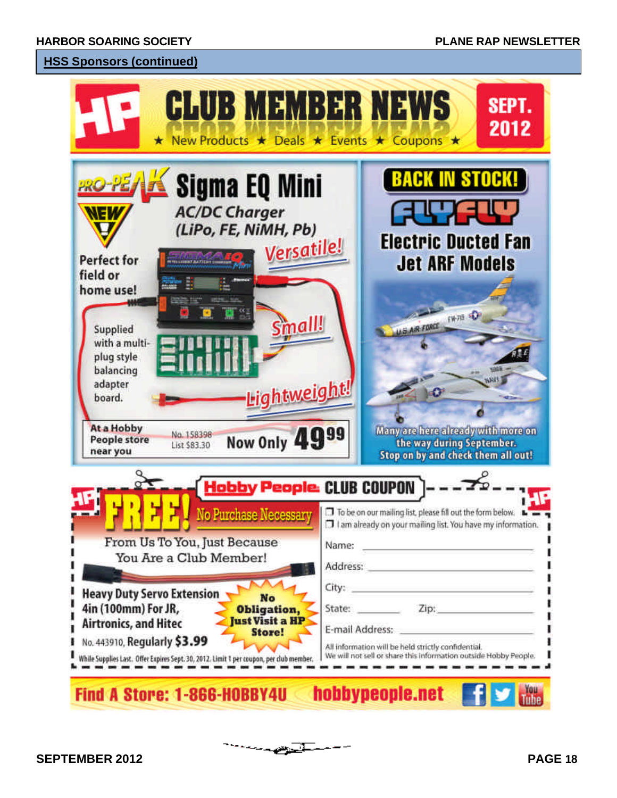### **HSS Sponsors (continued)**